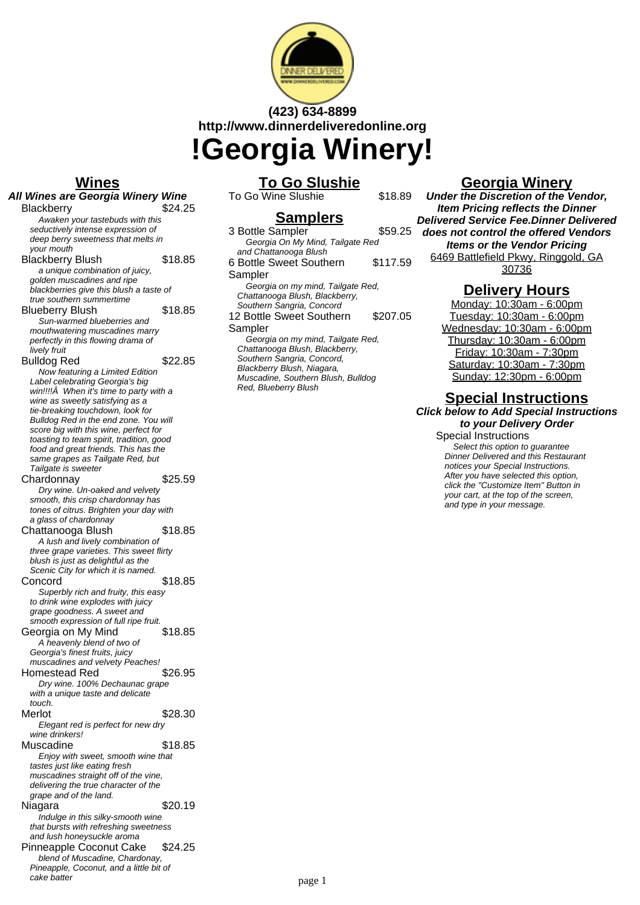

# **(423) 634-8899 http://www.dinnerdeliveredonline.org !Georgia Winery!**

#### **Wines**

**All Wines are Georgia Winery Wine** Blackberry \$24.25 Awaken your tastebuds with this seductively intense expression of deep berry sweetness that melts in your mouth Blackberry Blush \$18.85 a unique combination of juicy, golden muscadines and ripe blackberries give this blush a taste of true southern summertime Blueberry Blush \$18.85 Sun-warmed blueberries and mouthwatering muscadines marry perfectly in this flowing drama of .<br>livelv fruit Bulldog Red \$22.85 Now featuring a Limited Edition Label celebrating Georgia's big win!!!! $\hat{A}$  When it's time to party with a wine as sweetly satisfying as a tie-breaking touchdown, look for Bulldog Red in the end zone. You will score big with this wine, perfect for toasting to team spirit, tradition, good food and great friends. This has the same grapes as Tailgate Red, but Tailgate is sweeter Chardonnay \$25.59 Dry wine. Un-oaked and velvety smooth, this crisp chardonnay has tones of citrus. Brighten your day with a glass of chardonnay Chattanooga Blush \$18.85 A lush and lively combination of three grape varieties. This sweet flirty blush is just as delightful as the Scenic City for which it is named. Concord \$18.85 Superbly rich and fruity, this easy to drink wine explodes with juicy grape goodness. A sweet and smooth expression of full ripe fruit. Georgia on My Mind \$18.85 A heavenly blend of two of Georgia's finest fruits, juicy muscadines and velvety Peaches! Homestead Red \$26.95 Dry wine. 100% Dechaunac grape with a unique taste and delicate touch. Merlot \$28.30 Elegant red is perfect for new dry wine drinkers! Muscadine \$18.85 Enjoy with sweet, smooth wine that tastes just like eating fresh muscadines straight off of the vine. delivering the true character of the grape and of the land. Niagara \$20.19 Indulge in this silky-smooth wine that bursts with refreshing sweetness and lush honeysuckle aroma Pinneapple Coconut Cake \$24.25 blend of Muscadine, Chardonay, Pineapple, Coconut, and a little bit of

cake batter

# **To Go Slushie**

To Go Wine Slushie \$18.89

Red, Blueberry Blush

**Samplers** 3 Bottle Sampler \$59.25 Georgia On My Mind, Tailgate Red and Chattanooga Blush 6 Bottle Sweet Southern **Sampler** \$117.59 Georgia on my mind, Tailgate Red, Chattanooga Blush, Blackberry, Southern Sangria, Concord 12 Bottle Sweet Southern Sampler \$207.05 Georgia on my mind, Tailgate Red, Chattanooga Blush, Blackberry, Southern Sangria, Concord, Blackberry Blush, Niagara, Muscadine, Southern Blush, Bulldog

## **Georgia Winery**

**Under the Discretion of the Vendor, Item Pricing reflects the Dinner Delivered Service Fee.Dinner Delivered does not control the offered Vendors Items or the Vendor Pricing** 6469 Battlefield Pkwy, Ringgold, GA 30736

## **Delivery Hours**

Monday: 10:30am - 6:00pm Tuesday: 10:30am - 6:00pm Wednesday: 10:30am - 6:00pm Thursday: 10:30am - 6:00pm Friday: 10:30am - 7:30pm Saturday: 10:30am - 7:30pm Sunday: 12:30pm - 6:00pm

#### **Special Instructions Click below to Add Special Instructions**

**to your Delivery Order** Special Instructions

Select this option to quarantee Dinner Delivered and this Restaurant notices your Special Instructions. After you have selected this option, click the "Customize Item" Button in your cart, at the top of the screen, and type in your message.